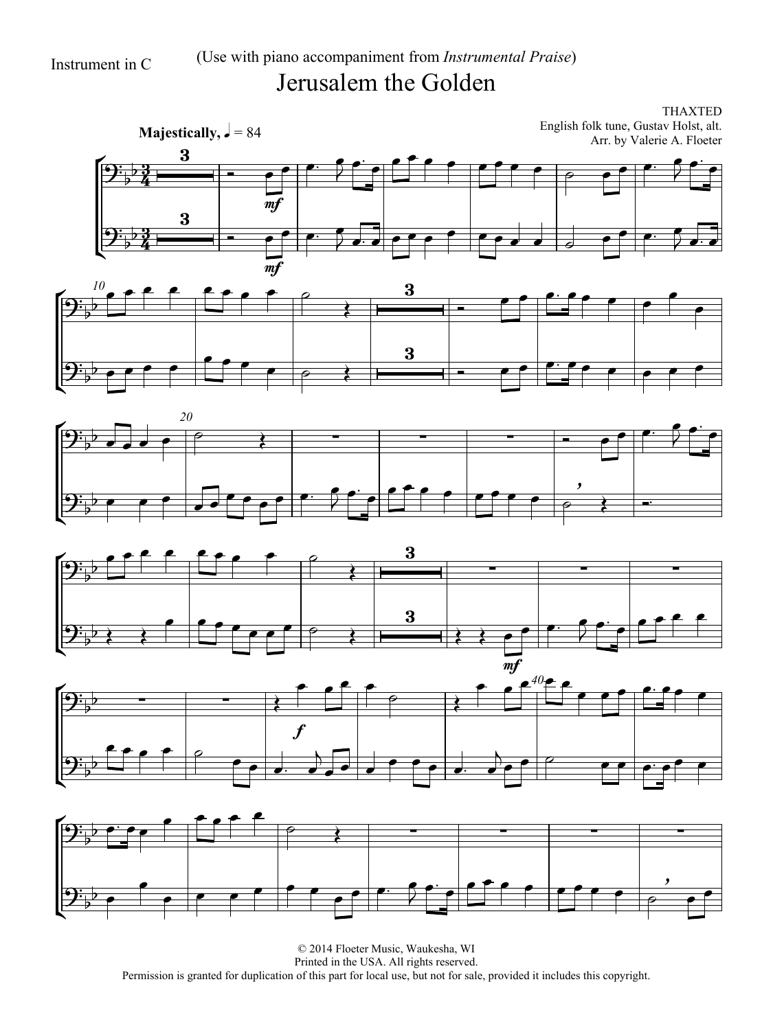## Instrument in C (Use with piano accompaniment from *Instrumental Praise*) Jerusalem the Golden

THAXTED English folk tune, Gustav Holst, alt. Arr. by Valerie A. Floeter